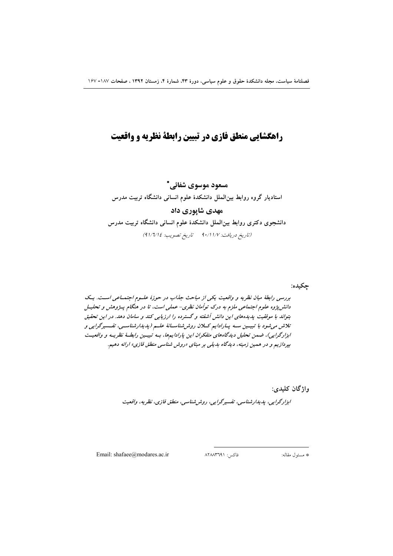# راهگشایی منطق فازی در تبیین رابطة نظریه و واقعیت

## مسعود موسوى شفائے.\*

# استادیار گروه روابط بین الملل دانشکدهٔ علوم انسانی دانشگاه تربیت مدرس مهدی شاپوری داد دانشجوی دکتری روابط بینالملل دانشکدهٔ علوم انسانی دانشگاه تربیت مدرس

(تاريخ دريافت: ١/١/١/٧ تاريخ تصويب: ١/٦/١٤)

چکيده:

بررسی رابطهٔ میان نظریه و واقعیت یکی از مباحث جذاب در حوزهٔ علسوم اجتماعی است. یک دانش پژوه علوم اجتماعی ملزم به درک توأمان نظری- عملی است، تا در هنگام پـژوهش و تحليـل بتواند با موفقیت پدیده های این دانش آشفته و گسترده را ارزیابی کند و سامان دهد. در این تحقیق تلاش می شود با تبیسین سه پیارادایم کیلان روش شناسیانهٔ علیم (پدیدارشناسیی، تفسیرگرایی و ابزارگرایی)، ضمن تحلیل دیدگاههای متفکران این پارادایمها، بـه تبیـین رابطـهٔ نظریـه و واقعیـت بپردازیم و در همین زمینه، دیدگاه بدیلی بر مبنای «روش شناسی منطق فازی» ارائه دهیم.

واژگان كليدي:

اېزارگرايي، پدېدارشناسي، تفسيرگرايي، روشرشناسي، منطق فازي، نظريه، واقعيت

Email: shafaee@modares.ac.ir

فاكس: ۸۲۸۸۳٦۹۱

\* مسئول مقاله: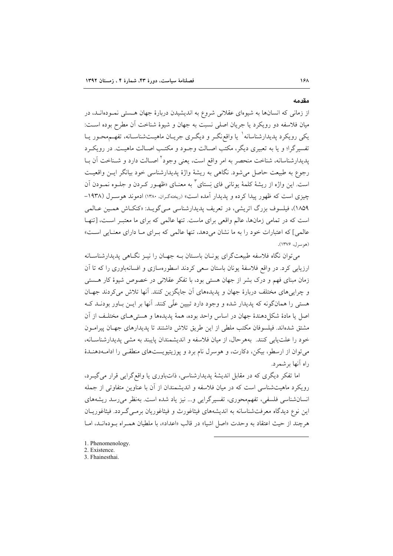#### مقدمه

از زمانی که انسانها به شیوهای عقلانی شروع به اندیشیدن دربارهٔ جهان هستی نمـودهانـد، در میان فلاسفه دو رویکرد یا جریان اصلی نسبت به جهان و شیوهٔ شناخت أن مطرح بوده اسـت: یکی رویکرد پدیدارشناسانه` یا واقع;گــر و دیگــری جریــان ماهیــتشناســانه، تفهــمهحــور یــا تفسیر گرا؛ و یا به تعبیری دیگر، مکتب اصـالت وجـود و مکتـب اصـالت ماهیـت. در رویکـرد پدیدارشناسانه، شناخت منحصر به امر واقع است، یعنی وجود<sup>۲</sup> اصـالت دارد و شـناخت آن بــا رجوع به طبیعت حاصل می شود. نگاهی به ریشهٔ واژهٔ پدیدارشناسی خود بیانگر ایــن واقعیــت است. این واژه از ریشهٔ کلمهٔ یونانی فای نستای ٌ به معنــای «ظهــور کــردن و جلــوه نمــودن آن چیزی است که ظهور پیدا کرده و یدیدار آمده است» (ریختهگران. ۱۳۸۰) ادموند هوسـرل (۱۹۳۸-۱۸۵۹)، فیلسوف بزرگ اتریشی، در تعریف پدیدارشناسی مبی گویـد: «کنکـاش همـین عـالمی است که در تمامی زمانها، عالم واقعی برای ماست. تنها عالمی که برای ما معتبر است، [تنهـا عالمي] كه اعتبارات خود را به ما نشان مى دهد، تنها عالمي كه بـراي مـا داراي معنـايي اسـت» (هوسرل، ۱۳۷۶).

می توان نگاه فلاسفه طبیعتگرای یونـان باسـتان بـه جهـان را نیــز نگــاهـی پدیدارشناســانه ارزیابی کرد. در واقع فلاسفهٔ یونان باستان سعی کردند اسطورهسازی و افسانهباوری را که تا آن زمان مبنای فهم و درک بشر از جهان هستی بود، با تفکر عقلانی در خصوص شیوهٔ کار هستی و چرایی های مختلف دربارهٔ جهان و پدیدههای آن جایگزین کنند. آنها تلاش میکردند جهـان هستی را همانگونه که پدیدار شده و وجود دارد تبیین علّی کنند. آنها بر ایــن بــاور بودنــد کــه اصل يا مادهٔ شكل دهندهٔ جهان در اساس واحد بوده، همهٔ پديدهها و هستىهـاى مختلـف از آن مشتق شدهاند. فیلسوفان مکتب ملطی از این طریق تلاش داشتند تا پدیدارهای جهـان پیرامـون خود را علت پایی کنند. بههر حال، از میان فلاسفه و اندیشمندان پایبند به مشی پدیدارشناسانه، می توان از ارسطو، بیکن، دکارت، و هوسرل نام برد و پوزیتیویستهای منطقی را ادامـهدهنـدهٔ راه أنها برشمرد.

اما تفکر دیگری که در مقابل اندیشهٔ پدیدارشناسی، ذاتباوری یا واقع گرایی قرار می گیـرد، رویکرد ماهیتشناسی است که در میان فلاسفه و اندیشمندان از آن با عناوین متفاوتی از جمله انسان شناسی فلسفی، تفهم محوری، تفسیرگرایی و... نیز یاد شده است. بهنظر می رسد ریشههای این نوع دیدگاه معرفتشناسانه به اندیشههای فیثاغورث و فیثاغوریان برمـی گـردد. فیثاغوریـان هر چند از حیث اعتقاد به وحدت «اصل اشیا» در قالب «اعداد»، با ملطیان همـراه بـودهانــد، امــا

- 1. Phenomenology.
- 2. Existence.

3. Fhainesthai.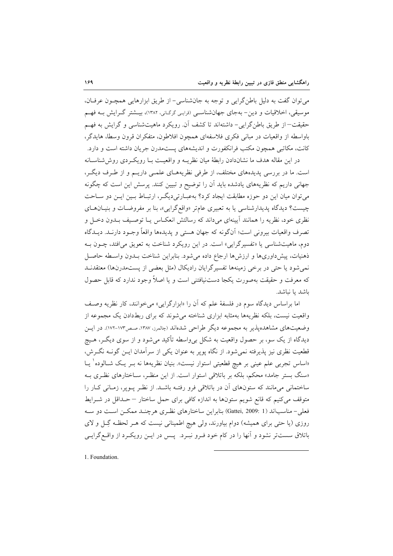مي توان گفت به دليل باطن گرايي و توجه به جانشناسي- از طريق ابزارهايي همچـون عرفـان، موسیقی، اخلاقیات و دین- بهجای جهانشناسبی (قرابی گرگ(ی، ۱۳۸۲)، بیــشتر گــرایش بــه فهــم حقيقت–از طريق باطن گرايي- داشتهاند تا كشف آن. رويكرد ماهيتشناسي و گرايش به فهـم باواسطه از واقعیات در مبانی فکری فلاسفهای همچون افلاطون، متفکران قرون وسطا، هایدگر، کانت، مکاتبی همچون مکتب فرانکفورت و اندیشههای پستمدرن جریان داشته است و دارد.

در این مقاله هدف ما نشاندادن رابطهٔ میان نظریــه و واقعیــت بــا رویکــردی روش(شناســانه است. ما در بررسی پدیدههای مختلف، از طرفی نظریههـای علمـی داریـم و از طـرف دیگـر، جهانی داریم که نظریههای یادشده باید آن را توضیح و تبیین کنند. پرسش این است که چگونه میتوان میان این دو حوزه مطابقت ایجاد کرد؟ بهعبـارتیدیگـر، ارتبـاط بـین ایـن دو سـاحت چیست؟ دیدگاه پدیدارشناسی یا به تعبیری عامتر «واقع گرایی»، بنا بر مفروضات و بنیـانهـای نظری خود، نظریه را همانند آیینهای میداند که رسالتش انعکـاس پــا توصـیف بــدون دخــل و تصرف واقعیات بیرونی است؛ آنگونه که جهان هستی و پدیدهها واقعاً وجـود دارنـد. دیــدگاه دوم، ماهیتشناسی یا «تفسیرگرایی» است. در این رویکرد شناخت به تعویق میافتد، چــون بــه ذهنيات، پيش داورىها و ارزشها ارجاع داده مى شود. بنابراين شناخت بـدون واسـطه حاصـل نمی شود یا حتی در برخی زمینهها تفسیرگرایان رادیکال (مثل بعضی از پستمدرنها) معتقدنـد که معرفت و حقیقت بهصورت یکجا دستنیافتنی است و یا اصلاً وجود ندارد که قابل حصول باشد يا نباشد.

اما براساس ديدگاه سوم در فلسفهٔ علم كه آن را «ابزارگرايي» مي خوانند، كار نظريه وصف واقعیت نیست، بلکه نظریهها بهمثابه ابزاری شناخته می شوند که برای ربطدادن یک مجموعه از وضعیتهای مشاهدهپذیر به مجموعه دیگر طراحی شدهاند (چالمرز، ۱۳۸۷، صص۱۷۳-۱۷۳). در ایــن دیدگاه از یک سو، بر حصول واقعیت به شکل بی واسطه تأکید می شود و از سوی دیگـر، هـیچ قطعیت نظری نیز پذیرفته نمی شود. از نگاه پویر به عنوان یکی از سرآمدان ایــن گونــه نگــرش، «اساس تجربی علم عینی بر هیچ قطعیتی استوار نیست». بنیان نظریهها نه بــر یــک شــالوده` یــا «سنگ بستر جامد» محکم، بلکه بر باتلاقی استوار است. از این منظـر، سـاختارهای نظـری بـه ساختمانی میمانند که ستونهای آن در باتلاقی فرو رفتـه باشـد. از نظـر پـویر، زمـانی کـار را متوقف می کنیم که قانع شویم ستونها به اندازه کافی برای حمل ساختار –حداقل در شـرایط فعلي– مناسباند (Gattei, 2009: 1) بنابراين ساختارهاي نظـري هرچنــد ممكــن اســت دو ســه روزی (یا حتی برای همیشه) دوام بیاورند، ولی هیچ اطمینانی نیست که هـر لحظـه گِـل و لای باتلاق سست تر نشود و آنها را در کام خود فـرو نبـرد. پـس در ايـن رويکـرد از واقـع گرايـي

1. Foundation.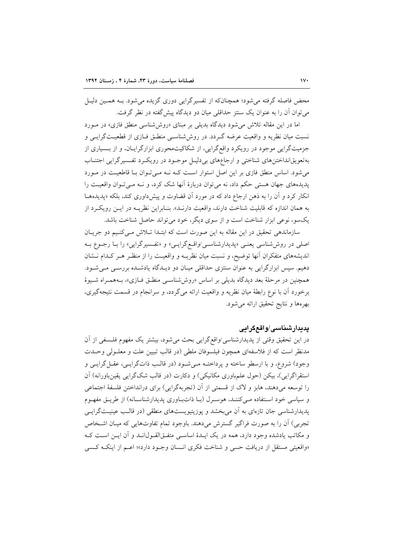محض فاصله گرفته می شود؛ همچنانکه از تفسیرگرایی دوری گزیده می شود. بــه همــین دلیــل می توان آن را به عنوان یک سنتز حداقلی میان دو دیدگاه پیش گفته در نظر گرفت.

اما در این مقاله تلاش می شود دیدگاه بدیلی بر مبنای «روش شناسی منطق فازی» در مورد نسبت میان نظریه و واقعیت عرضه گـردد. در روششناسـی منطـق فــازی از قطعیــتگرایــی و جزمیتگرایی موجود در رویکرد واقع گرایی، از شکاکیتمحوری ابزارگرایـان، و از بـسیاری از بهتعویقانداختنهای شناختی و ارجاعهای بردلیل موجود در رویکرد تفسیرگرایی اجتنـاب می شود. اساس منطق فازی بر این اصل استوار است کـه نـه مـی تـوان بـا قاطعیـت در مـورد پدیدههای جهان هستی حکم داد، نه میتوان دربارهٔ آنها شک کرد، و نـه مـی تـوان واقعیـت را انکار کرد و آن را به ذهن ارجاع داد که در مورد آن قضاوت و پیشداوری کند، بلکه «پدیدههــا به همان اندازه كه قابليت شناخت دارند، واقعيت دارنـد». بنـابراين نظريــه در ايــن رويكـرد از یکسو، نوعی ابزار شناخت است و از سوی دیگر، خود می تواند حاصل شناخت باشد.

سازماندهی تحقیق در این مقاله به این صورت است که ابتـدا تـلاش مـیکنـیم دو جریـان اصلی در روششناسی یعنبی «پدیدارشناس*ی او*اقعگرایی» و «تفسیرگرایی» را بـا رجـوع بـه اندیشههای متفکران آنها توضیح، و نسبت میان نظریـه و واقعیـت را از منظـر هـر کـدام نـشان دهیم. سپس ابزارگرایی به عنوان سنتزی حداقلی میـان دو دیـدگاه یادشـده بررسـی مـیشـود. همچنین در مرحلهٔ بعد دیدگاه بدیلی بر اساس «روششناسـی منطـق فـازی»، بـههمـراه شـیوهٔ برخورد آن با نوع رابطهٔ میان نظریه و واقعیت ارائه میگردد، و سرانجام در قسمت نتیجهگیری، بهرهها ونتايج تحقيق ارائه مى شود.

## يديدارشناسي/واقعگرايي

در این تحقیق وقتی از پدیدارشناسی/واقعگرایی بحث میشود، بیشتر یک مفهوم فلسفی از آن مدنظر است كه از فلاسفهاى همچون فيلسوفان ملطى (در قالب تبيين علت و معلـولى وحـدت وجود) شروع، و با ارسطو ساخته و پرداختـه مـیشـود (در قالـب ذاتگرایـی، عقـلگرایـی و استقراگرايي)، بيكن (حول علمباوري مكانيكي) و دكارت (در قالب شكگرايي يقين باورانه) آن را توسعه میدهند، هابز و لاک از قسمتی از آن (تجربهگرایی) برای درانداختن فلسفهٔ اجتماعی و سیاسی خود استفاده میکنند، هوسرل (با ذاتباوری پدیدارشناسانه) از طریق مفهوم پدیدارشناسی جان تازهای به آن می بخشد و پوزیتیویستهای منطقی (در قالب عینیتگرایسی تجربي) آن را به صورت فراگير گسترش ميدهند. باوجود تمام تفاوتهايي كه ميـان اشـخاص و مکاتب یادشده وجود دارد، همه در یک ایـدهٔ اساسـی متفـقالقـول|نـد و آن ایـن اسـت کـه «واقعيتي مستقل از دريافت حسى و شناخت فكرى انـسان وجـود دارد»؛ اعـم از اينكـه كـسى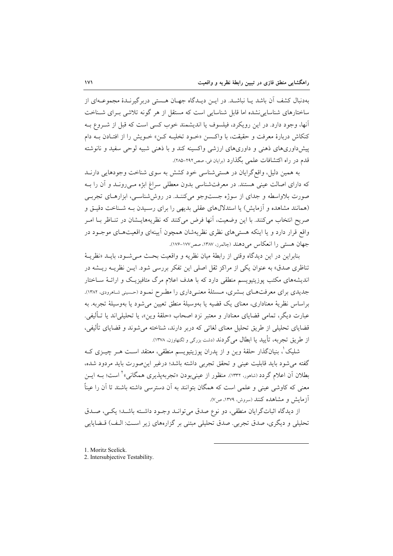بهدنبال کشف آن باشد یـا نباشــد. در ایــن دیــدگاه جهــان هــستی دربر گیرنــدهٔ مجموعــهای از ساختارهای شناسایی نشده اما قابل شناسایی است که مستقل از هر گونه تلاشی بـرای شــناخت أنها، وجود دارد. در این رویکرد، فیلسوف یا اندیشمند خوب کسی است که قبل از شـروع بـه كنكاش دربارهٔ معرفت و حقیقت، با واكسن «خـود تخلیـه كـن» خـویش را از افتـادن بـه دام پیش داوریهای ذهنی و داوریهای ارزشی واکسینه کند و با ذهنی شبیه لوحی سفید و نانوشته قدم در راه اکتشافات علمی بگذارد (برایان فی، صص۲۹۲–۲۸۵).

به همین دلیل، واقع گرایان در هستی شناسی خود کشش به سوی شناخت وجودهایی دارنــد که دارای اصالت عینی هستند. در معرفتشناسی بدون معطلی سراغ ابژه مـیرونـد و آن را بـه صورت بلاواسطه و جدای از سوژه جستوجو میکننـد. در روششناسـی، ابزارهـای تجربـی (همانند مشاهده و آزمایش) یا استدلالهای عقلی بدیهی را برای رسیدن بـه شـناخت دقیـق و صريح انتخاب مي كنند. با اين وضعيت، آنها فرض مي كنند كه نظريههايــشان در تنــاظر بــا امــر واقع قرار دارد و یا اینکه هستیهای نظری نظریهشان همچون أیینهای واقعیتهـای موجـود در جهان هستي را انعكاس مي دهند (چالمرز، ١٣٨٧، صص١٧٧-١٧۶).

بنابراين در اين ديدگاه وقتي از رابطهٔ ميان نظريه و واقعيت بحث مي شود، بايـد «نظريـة تناظری صدق» به عنوان یکی از مراکز ثقل اصلی این تفکر بررسی شود. ایـن نظریــه ریـشه در اندیشههای مکتب پوزیتیویسم منطقی دارد که با هدف اعلام مرگ متافیزیک و ارائـهٔ سـاختار جدیدی برای معرفتهای بـشری، مـسئلهٔ معنـیداری را مطـرح نمـود (حسینی شـاهرودی، ۱۳۸۲). براساس نظرية معناداري، معناي يک قضيه يا بهوسيلة منطق تعيين مي شود يا بهوسيلة تجربه. به عبارت ديگر، تمامي قضاياي معنادار و معتبر نزد اصحاب «حلقهٔ وين»، يا تحليل<sub>ي</sub>اند يا تــأليفي. قضایای تحلیلی از طریق تحلیل معنای لغاتی که دربر دارند، شناخته میشوند و قضایای تألیفی، از طریق تجربه، تأیید یا ابطال می گردند (دشت بزرگی و لگنهاوزن. ۱۳۷۸).

شلیک'، بنیانگذار حلقهٔ وین و از پدران پوزیتیویسم منطقی، معتقد اسـت هــر چیــزی کــه گفته می شود باید قابلیت عینی و تحقق تجربی داشته باشد؛ درغیر این صورت باید مردود شده، بطلان اّن اعلام گردد (شامور، ۱۳۳۲). منظور از عینی بودن «تجربه پذیری همگانی»<sup>۲</sup> است؛ بــه ایــن معنی که کاوشی عینی و علمی است که همگان بتوانند به آن دسترسی داشته باشند تا آن را عیناً آزمایش و مشاهده کنند (سروش، ۱۳۷۹، ص۷).

از دیدگاه اثباتگرایان منطقی، دو نوع صدق می توانـد وجـود داشـته باشـد؛ یکـی، صـدق تحلیلی و دیگری، صدق تجربی. صدق تحلیلی مبتنی بر گزارههای زیر است: الـف) قــضایایی

- 1. Moritz Scelick.
- 2. Intersubjective Testability.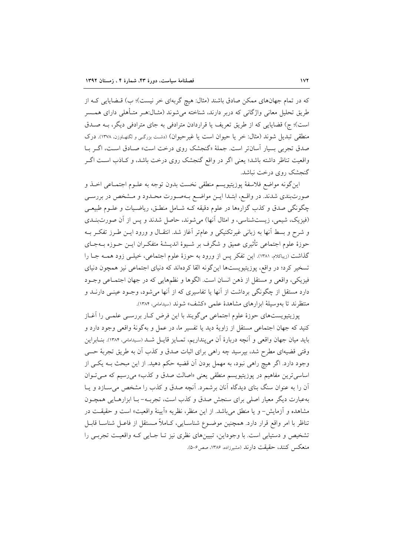که در تمام جهانهای ممکن صادق باشند (مثال: هیچ گربهای خر نیست)؛ ب) قـضایایی کـه از طریق تحلیل معانی واژگانی که دربر دارند، شناخته میشوند (مثـال:هـر متـأهلی دارای همــسر است)؛ ج) قضایایی که از طریق تعریف یا قراردادن مترادفی به جای مترادفی دیگر، بـه صـدق منطقی تبدیل شوند (مثال: خر یا حیوان است یا غیرحیوان) (دشت بزرگی و لکنهاوزن، ۱۳۷۸). درک صدق تجربي بسيار أسانتر است. جملهٔ «گنجشک روي درخت است» صـادق اسـت، اگـر بــا واقعیت تناظر داشته باشد؛ یعنی اگر در واقع گنجشک روی درخت باشد، و کـاذب اســت اگــر گنجشک روی درخت نباشد.

اينگونه مواضع فلاسفهٔ پوزيتيويسم منطقى نخست بدون توجه به علــوم اجتمــاعي اخــذ و صورتبندی شدند. در واقع، ابتـدا ایــن مواضـع بــهصـورت محـدود و مــشخص در بررســی چگونگی صدق و کذب گزارهها در علوم دقیقه کـه شـامل منطـق، ریاضـیات و علــوم طبیعــی (فيزيک، شيمي، زيستشناسي، و امثال آنها) مي شوند، حاصل شدند و پس از آن صورتبنـدي و شرح و بسط آنها به زبانی غیرتکنیکی و عامتر آغاز شد. انتقـال و ورود ایــن طــرز تفکــر بــه حوزهٔ علوم اجتماعی تأثیری عمیق و شگرف بر شـیوهٔ اندیــشهٔ متفکـران ایــن حــوزه بــهجــای گذاشت (زیباکلام، ۱۳۸۱). این تفکر پس از ورود به حوزهٔ علوم اجتماعی، خیلـی زود همــه جــا را تسخیر کرد؛ در واقع، پوزیتیویستها اینگونه القا کردهاند که دنیای اجتماعی نیز همچون دنیای فيزيكي، واقعي و مستقل از ذهن انسان است. الگوها و نظمهايي كه در جهان اجتمـاعي وجــود دارد مستقل از چگونگی برداشت از آنها یا تفاسیری که از آنها میشود، وجــود عینــی دارنــد و منتظرند تا بهوسیلهٔ ابزارهای مشاهدهٔ علمی «کشف» شوند (سیدامامی، ۱۳۸۴).

پوزیتیویستهای حوزهٔ علوم اجتماعی میگویند با این فرض کـار بررسـی علمـی را آغـاز کنید که جهان اجتماعی مستقل از زاویهٔ دید یا تفسیر ما، در عمل و بهگونهٔ واقعی وجود دارد و بايد ميان جهان واقعي و اّنچه دربارهٔ آن مي پنداريم، تمـايز قايـل شـد (سـيدامامي، ١٣٨۴). بنــابراين وقتی قضیهای مطرح شد، بیرسید چه راهی برای اثبات صدق و کذب آن به طریق تجربهٔ حسی وجود دارد. اگر هیچ راهی نبود، به مهمل بودن اَن قضیه حکم دهید. از این مبحث بــه یکــی از اساسی ترین مفاهیم در یوزیتیویسم منطقی یعنی «اصالت صدق و کذب» می رسیم که می توان آن را به عنوان سنگ بنای دیدگاه آنان برشمرد. آنچه صدق و کذب را مشخص میسازد و یـا بهعبارت دیگر معیار اصلی برای سنجش صدق و کذب است، تجربـه- بـا ابزارهـایی همچـون مشاهده و آزمایش- و یا منطق میباشد. از این منظر، نظریه «اَیینهٔ واقعیت» است و حقیقـت در تناظر با امر واقع قرار دارد. همچنین موضـوع شناسـایی، کـاملاً مـستقل از فاعـل شناسـا قابـل تشخیص و دستیابی است. با وجوداین، تبیینهای نظری نیز تـا جـایی کـه واقعیـت تجربـی را منعكس كنند، حقيقت دارند (مشيرزاده، ۱۳۸۶، صص۶-۵).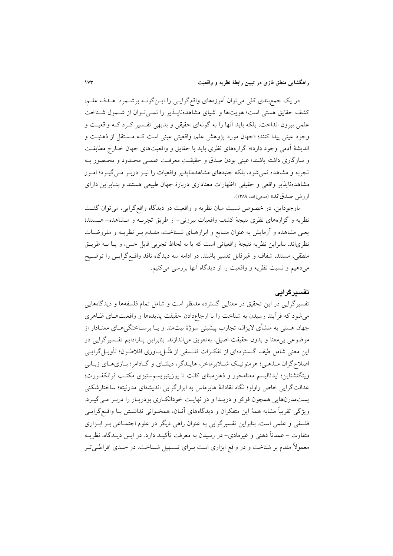در یک جمع بندی کلی می توان آموزههای واقع گرایسی را ایـن گونـه برشـمرد: هـدف علـم، کشف حقایق هستی است؛ هویتها و اشیای مشاهدهناییذیر را نمبی تبوان از شیمول شیناخت علمی بیرون انداخت، بلکه باید آنها را به گونهای حقیقی و بدیهی تفسیر کـرد کـه واقعیـت و وجود عینی پیدا کنند؛ «جهان مورد پژوهش علم، واقعیتی عینی است کـه مــستقل از ذهنیــت و اندیشهٔ آدمی وجود دارد»؛ گزارههای نظری باید با حقایق و واقعیتهای جهان خبارج مطابقت و سازگاری داشته باشند؛ عینی بودن صدق و حقیقتِ معرفت علمـی محـدود و محـصور بـه تجربه و مشاهده نمی شود، بلکه جنبههای مشاهدهناپذیر واقعیات را نیـز دربـر مـی گیـرد؛ امـور مشاهدهنایذیر واقعی و حقیقی «اظهارات معناداری دربارهٔ جهان طبیعی هستند و بنـابراین دارای ارزش صدقاند» (فتحيزاده، ١٣٨٩).

باوجوداین، در خصوص نسبت میان نظریه و واقعیت در دیدگاه واقع گرایی، می توان گفت نظریه و گزارههای نظری نتیجهٔ کشف واقعیات بیرونی-از طریق تجربـه و مـشاهده- هـستند؛ یعنی مشاهده و ازمایش به عنوان منـابع و ابزارهـای شـناخت، مقـدم بـر نظریــه و مفروضـات نظرياند. بنابراين نظريه نتيجهٔ واقعياتي است كه يا به لحاظ تجربي قابل حس، و يـا بــه طريــق منطقی، مستند، شفاف و غیرقابل تفسیر باشند. در ادامه سه دیدگاه ناقد واقع گرایسی را توضیح میدهیم و نسبت نظریه و واقعیت را از دیدگاه آنها بررسی میکنیم.

## تفسيرگرايي

تفسیرگرایی در این تحقیق در معنایی گسترده مدنظر است و شامل تمام فلسفهها و دیدگاههایی می شود که فرآیند رسیدن به شناخت را با ارجاعدادن حقیقت پدیدهها و واقعیتهـای ظـاهری جهان هستی به منشأی لایزال، تجارب پیشینی سوژهٔ نیتمند و یـا برسـاختگی۵حـای معنــادار از موضوعي بي،معنا و بدون حقيقت اصيل، بهتعويق مي|ندازند. بنابراين پـارادايم تفـسيرگرايي در این معنی شامل طیف گــستردهای از تفکــرات فلــسفی از مُثَــل ٖبــاوری افلاطــون؛ تأویــل گرایــی اصلاح گران مـذهبي؛ هرمنوتيـک شـلايرماخر، هايـدگر، ديلتـاي و گـادامر؛ بـازيهـاي زبـاني ويتگنشتاين؛ ايدئاليسم معنامحور و ذهن.مبناي كانت تا يوزيتيويسم.ستيزي مكتب فرانكفـورت؛ عدالتگرایی خاص راولز؛ نگاه نقادانهٔ هابرماس به ابزارگرایی اندیشهای مدرنیته؛ ساختارشکنی پستمدرنهایی همچون فوکو و دریـدا و در نهایـت خودانکـاری بودریـار را دربـر مـیگیـرد. ویژگی تقریباً مشابه همهٔ این متفکران و دیدگاههای آنـان، همخـوانی نداشـتن بـا واقـع گرایـی فلسفی و علمی است. بنابراین تفسیر گرایی به عنوان راهی دیگر در علوم اجتمـاعی بـر ابـزاری متفاوت – عمدتاً ذهنی و غیرمادی– در رسیدن به معرفت تأکیـد دارد. در ایــن دیــدگاه، نظریــه معمولاً مقدم بر شناخت و در واقع ابزاری است بـرای تــسهیل شــناخت. در حــدی افراطــی تــر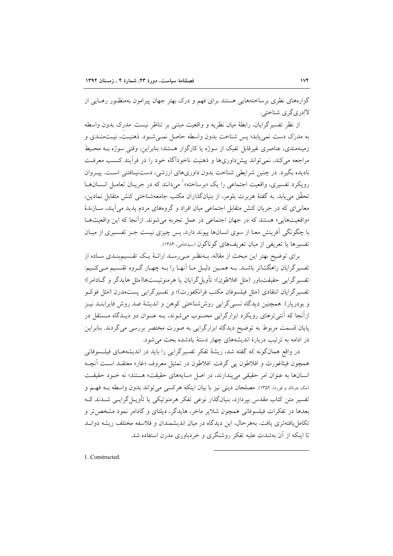گزارههای نظری برساختههایی هستند برای فهم و درک بهتر جهان پیرامون بهمنظـور رهـایی از لاادري گري شناختي.

از نظر تفسیرگرایان، رابطهٔ میان نظریه و واقعیت مبتنی بر تناظر نیست. مدرک بدون واسطه به مدرک دست نمی یابد؛ پس شناخت بدون واسطه حاصل نمـی شـود. ذهنیـت، نیـتمنـدی و زمینهمندی، عناصری غیرقابل تفیک از سوژه یا کارگزار هستند؛ بنابراین، وقتی سوژه بـه محـیط مراجعه می کند، نمی تواند پیش داوریها و ذهنیت ناخودآگاه خود را در فرآیند کـسب معرفـت نادیده بگیرد. در چنین شرایطی شناخت بدون داوریهای ارزشی، دستنیافتنی است. پیـروان رويكرد تفسيري، واقعيت اجتماعي را يك «برساخته» ` مي دانند كه در جريــان تعامــل انــسانهــا تحقَّق مي يابد. به گفتهٔ هربرت بلومر، از بنيانگذاران مكتب جامعهشناختی كنش متقابل نمادين، معانی ای که در جریان کنش متقابل اجتماعی میان افراد و گروههای مردم پدید می آیند، سـازندهٔ «واقعیتهایی» هستند که در جهان اجتماعی در عمل تجربه می شوند. ازآنجا که این واقعیتهـا با چگونگی اَفرینش معنا از سوی انسانها پیوند دارد، پس چیزی نیست جـز تفـسیری از میـان تفسیرها یا تعریفی از میان تعریفهای گوناگون (سیدامامی، ۱۳۸۴).

برای توضیح بهتر این مبحث از مقاله، بـهنظـر مـی(سـد ارائـهٔ یـک تقـسیمبنـدی سـاده از تفسیرگرایان راهگشاتر باشـد. بـه همـین دلیـل مـا آنهـا را بـه چهـار گـروه تقـسیم مـیکنـیم: تفسيرگرايي حقيقتباور (مثل افلاطون)؛ تأويل گرايان يا هرمنوتيستها(مثل هايدگر و گـادامر)؛ تفسيركرايان انتقادى (مثل فيلسوفان مكتب فرانكفورت)؛ و تفسيرگرايي پستمدرن (مثل فوكـو و بودریار). همچنین دیدگاه نسبیگرایی روششناختی کوهن و اندیشهٔ ضد روش فایرابنـد نیـز ازآنجا که آنتی تزهای رویکرد ابزارگرایی محسوب میشوند، بـه عنـوان دو دیـدگاه مـستقل در پایان قسمت مربوط به توضیح دیدگاه ابزارگرایی به صورت مختصر بررسی میگردند. بنابراین در ادامه به ترتیب دربارهٔ اندیشههای چهار دستهٔ یادشده بحث می شود.

در واقع همانگونه که گفته شد، ریشهٔ تفکر تفسیرگرایی را باید در اندیشههـای فیلـسوفانی همچون فیثاغورث و افلاطون پی گرفت. افلاطون در تمثیل معروف «غار» معتقـد اسـت آنچـه انسانها به عنوان امر حقیقی می پندارند، در اصل «سایههای حقیقت» هستند؛ نه خـود حقیقـت (مک دونالد و فوردا، ۱۳۵۲). مصلحان دینی نیز با بیان اینکه هرکسی می تواند بدون واسطه بـه فهـم و تفسیر متن کتاب مقدس بیردازد، بنیانگذار نوعی تفکر هرمنوتیکی یا تأویــل گرایــی شــدند کــه بعدها در تفکرات فیلسوفانی همچون شلایر ماخر، هایدگر، دیلتای و گادامر نمود مشخص تر و تکامل یافتهتری یافت. بههر حال، این دیدگاه در میان اندیشمندان و فلاسفه مختلف ریشه دوانـد تا اینکه از آن بهشدت علیه تفکر روشنگری و خردباوری مدرن استفاده شد.

1. Constructed.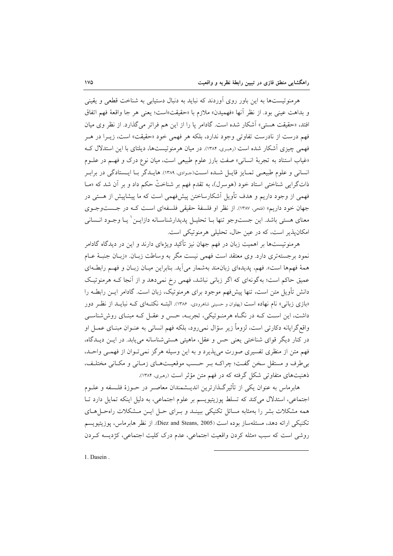هرمنوتیستها به این باور روی آوردند که نباید به دنبال دستیابی به شناخت قطعی و یقینی و بداهت عيني بود. از نظر آنها «فهميدن» ملازم با «حقيقت»است؛ يعني هر جا واقعهٔ فهم اتفاق افتد، «حقیقت هستی» آشکار شده است. گادامر پا را از این هم فراتر میگذارد. از نظر وی میان فهم درست از نادرست تفاوتی وجود ندارد، بلکه هر فهمی خود «حقیقت» است، زیـرا در هـر فهمی چیزی آشکار شده است (رمبری، ۱۳۸۴). در میان هرمنوتیستها، دیلتای با این استدلال ک «غیاب استناد به تجربهٔ انسانی» صفت بارز علوم طبیعی است، میان نوع درک و فهـم در علــوم انسانی و علوم طبیعی تمـایز قایـل شـده اسـت(جـوادی، ۱۳۸۹). هایـدگر بـا ایـستادگی در برابـر ذاتگرایی شناختی استاد خود (هوسرل)، به تقدم فهم بر شناختْ حکم داد و بر آن شد که «مــا فهمی از وجود داریم و هدف تأویل آشکارساختن پیشفهمی است که ما پیشاپیش از هستی در جهان خود داریم» (فتحی، ۱۳۸۷). از نظر او فلسفهٔ حقیقی فلسفهای است کـه در جـستوجـوی معناي هستي باشد. اين جستوجو تنها بــا تحليــل يديدارشناســانه دازايــن` يــا وجــود انــساني امکانپذیر است، که در عین حال، تحلیلی هرمنوتیکی است.

هرمنوتیستها بر اهمیت زبان در فهم جهان نیز تأکید ویژمای دارند و این در دیدگاه گادامر نمود برجستهتری دارد. وی معتقد است فهمی نیست مگر به وساطت زبـان<sub>. «زب</sub>ـان جنبـهٔ عــام همهٔ فهمها است». فهم، پدیدهای زبان مند بهشمار می آید. بنابراین میـان زبـان و فهـم رابطـهای عمیق حاکم است؛ بهگونهای که اگر زبانی نباشد، فهمی رخ نمی،دهد و از آنجا کـه هرمنوتیـک دانش تأویل متن است، تنها پیشفهم موجود برای هرمنوتیک، زبان است. گادامر ایــن رابطــه را «بازی زبانی» نام نهاده است (پهلوان و حسینی شاهرودی، ۱۳۸۶). البتــه نکتــهای کــه نبایــد از نظـر دور داشت، این است کـه در نگـاه هرمنـوتیکی، تجربـه، حـس و عقـل کـه مبنـای روششناسـی واقع گرایانه دکارتی است، لزوماً زیر سؤال نمیرود، بلکه فهم انسانی به عنـوان مبنـای عمـل او در کنار دیگر قوای شناختی یعنی حس و عقل، ماهیتی هستی شناسانه می یابد. در ایـن دیــدگاه، فهم متن از منظری تفسیری صورت میپذیرد و به این وسیله هرگز نمیتوان از فهمـی واحـد، برطرف و مستقل سخن گفت؛ چراک ببر حسب موقعیتهای زمانی و مکانی مختلف، ذهنیتهای متفاوتی شکل گرفته که در فهم متن مؤثر است (رهبری، ۱۳۸۴).

هابرماس به عنوان یکی از تأثیرگـذارترین اندیــشمندان معاصـر در حــوزهٔ فلــسفه و علــوم اجتماعی، استدلال میکند که تسلط پوزیتیویسم بر علوم اجتماعی، به دلیل اینکه تمایل دارد تا همه مشکلات بشر را بهمثابه مسائل تکنیکی ببینـد و بـرای حـل ایـن مـشکلات راهحـل۱مـای تكنيكي ارائه دهد، مسئلهساز بوده است (Diez and Steans, 2005). از نظر هابرماس، يوزيتيويسم روشي است كه سبب «مثله كردن واقعيت اجتماعي، عدم درك كليت اجتماعي، كژديسه كردن

1. Dasein.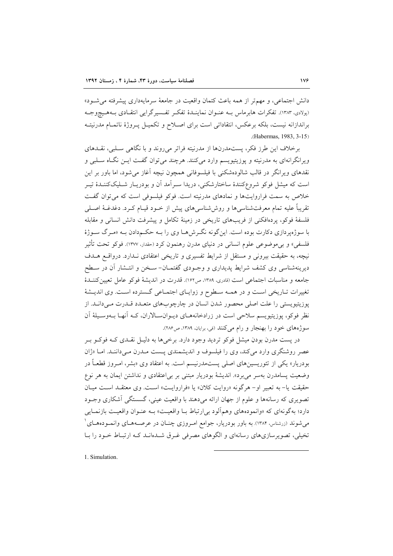دانش اجتماعی، و مهمتر از همه باعث کتمان واقعیت در جامعهٔ سرمایهداری پیشرفته می شود» (پولادی، ۱۳۸۳). تفکرات هابرماس بـه عنـوان نماینـدهٔ تفکـر تفـسیرگرایی انتقـادی بـههـیچوجـه براندازانه نیست، بلکه برعکس، انتقاداتی است برای اصـلاح و تکمیـل پـروژهٔ ناتمـام مدرنیتـه (Habermas, 1983, 3-15)

برخلاف این طرز فکر، پستمدرنها از مدرنیته فراتر می روند و با نگاهی سلبی، نقـدهای ویرانگرانهای به مدرنیته و پوزیتیویسم وارد میکنند. هرچند میتوان گفت ایـن نگـاه سـلبی و نقدهای ویرانگر در قالب شالودهشکنی با فیلسوفانی همچون نیچه آغاز می شود، اما باور بر این است که میشا ٍ فوکو شروعکنندهٔ ساختارشکنی، دریدا سـرآمد اَن و بودریـار شـلیککننـدهٔ تیـر خلاص به سمت فراروایتها و نمادهای مدرنیته است. فوکو فیلسوفی است که می توان گفت تقریباً علیه تمام معرفتشناسیها و روششناسیهای پیش از خــود قیــام کــرد. دغدغــهٔ اصــلـی فلسفهٔ فوکو، پردهافکنی از فریبهای تاریخی در زمینهٔ تکامل و پیشرفت دانش انسانی و مقابله با سوژهپردازی دکارت بوده است. اینگونه نگـرش۵هـا وی را بـه حکـمدادن بـه «مـرگ سـوژهٔ فلسفي» و بي موضوعي علوم انساني در دنياي مدرن رهنمون كرد (حقدار، ١٣٧٧). فوكو تحت تأثير نیچه، به حقیقت بیرونی و مستقل از شرایط تفسیری و تاریخی اعتقادی نـدارد. درواقـع هـدف دیرینهشناسی وی کشف شرایط پدیداری و وجـودی گفتمـان- سـخن و انتـشار آن در سـطح جامعه و مناسبات اجتماعی است (قادری، ۱۳۸۹، ص۱۶۲). قدرت در اندیشهٔ فوکو عامل تعیین کننــدهٔ تغییرات تـاریخی اسـت و در همـه سـطوح و زوایـای اجتمـاعی گـسترده اسـت. وی اندیـشهٔ پوزیتیویستی را علت اصلی محصور شدن انسان در چارچوبهای متعـدد قــدرت مـیدانــد. از نظر فوکو، پوزیتیویسم سلاحی است در زرادخانههـای دیـوانسـالاران، کـه آنهـا بـهوسـیلهٔ آن سوژههای خود را بهنجار و رام میکنند (فی، برایان، ۱۳۸۹، ص۲۸۶).

در پست مدرن بودنِ میشل فوکو تردید وجود دارد. برخی ها به دلیـل نقـدی کـه فوکـو بـر عصر روشنگری وارد میکند، وی را فیلسوف و اندیشمندی پست مـدرن مـیداننـد. امـا «ژان بودریار» یکی از تئوریسینهای اصل<sub>ی</sub> پستمدرنیسم است. به اعتقاد وی «بشر، امـروز قطعـاً در وضعیت پسامدرن بهسر می برد». اندیشهٔ بودریار مبتنی بر بی|عتقادی و نداشتن ایمان به هر نوع حقيقت يا- به تعبير أو- هر گونه «روايت كلان» يا «فراروايت» است. وي معتقـد اسـت ميـان تصویری که رسانهها و علوم از جهان ارائه می۵هند با واقعیت عینی، گسستگی آشکاری وجـود دارد؛ بهگونهای که «وانمودههای وهمآلود بی ارتباط بـا واقعیت» بـه عنـوان واقعیـت بازنمـایی میشوند (زرشناس، ۱۳۸۴). به باور بودریار، جوامع امـروزی چنـان در عرصـههـای وانمـودههـای <sup>۱</sup> تخیلی، تصویرسازیهای رسانهای و الگوهای مصرفی غـرق شـدهانـد کـه ارتبـاط خـود را بـا

1. Simulation.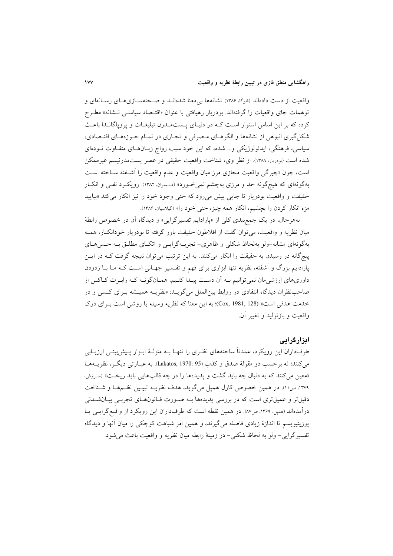واقعیت از دست دادهاند (فلوگا، ۱۳۸۶). نشانهها بی معنا شدهانــد و صــحنهســازیهــای رســانهای و توهمات جاي واقعيات را گرفتهاند. بودريار رهيافتي با عنوان «اقتـصاد سياسـي نـشانه» مطـرح کرده که بر این اساس استوار است کـه در دنیـای پـستمـدرن تبلیغـات و پروپاگانـدا باعـث شکل گیری انبوهی از نشانهها و الگوهـای مـصرفی و تجـاری در تمـام حـوزههـای اقتـصادی، سیاسی، فرهنگی، ایدئولوژیکی و... شده، که این خود سبب رواج زبـانهـای متفـاوت تـودهای شده است (بودریار، ۱۳۸۸). از نظر وی، شناخت واقعیت حقیقی در عصر پستمدرنیسم غیرممکن است، چون «چیرگی واقعیت مجازی مرز میان واقعیت و عدم واقعیت را آشـفته سـاخته اسـت بهگونهای که هیچگونه حد و مرزی بهچشم نمیخورد» (ضیمران، ۱۳۸۲). رویک رد نفـی و انکـار حقیقت و واقعیت بودریار تا جایی پیش می رود که حتی وجود خود را نیز انکار می کند «بیایید مزه انکار کردن را بچشیم، انکار همه چیز، حتی خود را» (گیلاسیان، ۱۳۸۶).

بههرحال، در یک جمع بندی کل<sub>ی</sub> از «پارادایم تفسیرگرایی» و دیدگاه آن در خصوص رابطهٔ میان نظریه و واقعیت، می توان گفت از افلاطون حقیقت باور گرفته تا بودریار خودانکار، همـه بهگونهای مشابه-ولو بهلحاظ شکلی و ظاهری- تجربـهگرایـی و اتکـای مطلـق بـه حـسهـای پنج گانه در رسیدن به حقیقت را انکار میکنند. به این ترتیب می توان نتیجه گرفت کـه در ایـن پارادایم بزرگ و آشفته، نظریه تنها ابزاری برای فهم و تفـسیر جهـانی اسـت کـه مـا بـا زدودن داوریهای ارزشیِمان نمیِ توانیم بـه آن دسـت پیـدا کنـیم. همـانگونـه کـه رابـرت کـاکس از صاحب نظران دیدگاه انتقادی در روابط بین الملل میگویـد: «نظریــه همیـشه بـرای کـسی و در خدمت هدفي است» (Cox, 1981, 128)؛ به اين معنا كه نظريه وسيله يا روشي است بـراي درك واقعت و بازتوليد و تغيير آن.

### ابزارگرایی

طرفداران این رویکرد، عمدتاً ساختههای نظـری را تنهـا بــه منزلــهٔ ابــزار پــیش بینــی ارزیــابی مي كنند؛ نه برحسب دو مقولهٔ صدق و كذب (Lakatos, 1970: 95). به عبــارتي ديگــر، نظريـــهـمــا «معین می کنند که به دنبال چه باید گشت و یدیدهها را در چه قالبهایی باید ریخت» (سروش، ١٣٧٩، ص١١). در همين خصوص كارل هميل مي گويد، هدف نظريــه تبيـين نظــمهـا و شـناخت دقیقتر و عمیقتری است که در بررسی پدیدهها بـه صـورت قـانونهـای تجربـی بیـانشـدنی درآمدهاند (همیل، ۱۳۶۹، ص۸۷). در همین نقطه است که طرفداران این رویکرد از واقع گرایبی یـا یوزیتیویسم تا اندازهٔ زیادی فاصله می گیرند، و همین امر شباهت کوچکی را میان آنها و دیدگاه تفسير گرايي- ولو به لحاظ شكلي- در زمينهٔ رابطه ميان نظريه و واقعيت باعث مي شود.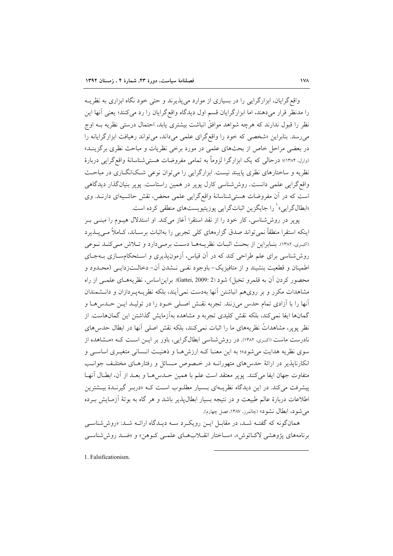واقع گرایان، ابزارگرایی را در بسیاری از موارد می پذیرند و حتی خود نگاه ابزاری به نظریــه را مدنظر قرار میدهند، اما ابزارگرایان قسم اول دیدگاه واقع گرایان را رد می کنند؛ یعنی آنها این نظر را قبول ندارند که هرچه شواهد موافقْ انباشت بیشتری یابد، احتمال درستی نظریه بــه اوج می رسد. بنابراین «شخصی که خود را واقع گرای علمی می داند، می تواند رهیافت ابزارگرایانه را در بعضی مراحل خاص از بحثهای علمی در مورد برخی نظریات و مباحث نظری برگزینــد» (وارل، ۱۳۸۴)؛ درحالی که یک ابزارگرا لزوماً به تمامی مفروضات هستی شناسانهٔ واقع گرایی دربارهٔ نظریه و ساختارهای نظری پایبند نیست. ابزارگرایی را می توان نوعی شکانگاری در مباحث واقع گرایی علمی دانست. روش شناسی کارل یویر در همین راستاست. یویر بنیانگذار دیدگاهی است که در آن مفروضات هستی شناسانهٔ واقع گرایی علمی محض، نقش حاشـیهای دارنـد. وی «ابطالگرایی» <sup>۱</sup> را جایگزین اثباتگرایی یوزیتیویستهای منطقی کرده است.

یو یر در روش شناسی، کار خود را از نقد استقرا آغاز میکند. او استدلال هیــوم را مبنــی بــر اینکه استقرا منطقاً نمی تواند صدق گزارههای کلی تجربی را بهاثبات برسـاند، کـاملاً مـی2پـذیرد (اکبری، ۱۳۸۲). بنـابراین از بحـث اثبـات نظریـههـا دسـت برمـیدارد و تـلاش مـیکنـد نـوعی روششناسی برای علم طراحی کند که در آن قیاس، آزمونپذیری و استحکامسازی بـهجـای اطمينان و قطعيت بنشيند و از متافيزيک- باوجود نفـي نـشدن آن- دخالـتزدايـي (محـدود و محصور کردن آن به قلمرو تخیل) شود (2 :Gattei, 2009). براین اساس، نظریههـای علمـی از راه مشاهدات مکرر و بر رویهم انباشتن آنها بهدست نمی آیند، بلکه نظریـهپـردازان و دانـشمندان آنها را با آزادی تمام حدس میزنند. تجربه نقش اصلی خـود را در تولیـد ایـن حـدس۱مـا و گمانها ایفا نمی کند، بلکه نقش کلیدی تجربه و مشاهده بهآزمایش گذاشتن این گمانهاست. از نظر پویر، مشاهداتْ نظریههای ما را اثبات نمی کنند، بلکه نقش اصلی آنها در ابطال حدس های نادرست ماست (اکبری، ۱۳۸۲). در روش شناسی ابطالگرایی، باور بر ایـن اسـت کـه «مـشاهده از سوی نظریه هدایت می شود»؛ به این معنـا کـه ارزشهـا و ذهنیـت انـسانی متغیـری اساسـی و انکارناپذیر در ارائهٔ حدس۵ای متهورانــه در خـصوص مـسائل و رفتارهـای مختلـف جوانـب متفاوت جهان ايفا مي كنند. يوير معتقد است علم با همين حــدس٥هــا و بعــد از آن، ابطــال آنهــا پیشرفت می کند. در این دیدگاه نظریـهای بـسیار مطلـوب اسـت کـه «دربـر گیرنــدهٔ بیــشترین اطلاعات دربارهٔ عالم طبیعت و در نتیجه بسیار ابطال پذیر باشد و هر گاه به بوتهٔ آزمـایش بـرده مي شود، ابطال نشود» (چالمرز، ١٣٨٧، فصل چهارم).

همانگونه که گفتـه شـد، در مقابـل ايـن رويکـرد سـه ديـدگاه ارائـه شـد: «روششناسـي برنامههای پژوهشی لاکتاتوش» «سیاختار انقیلابههای علمبی کیوهن» و «ضید روش شناسبی

1. Falsificationism.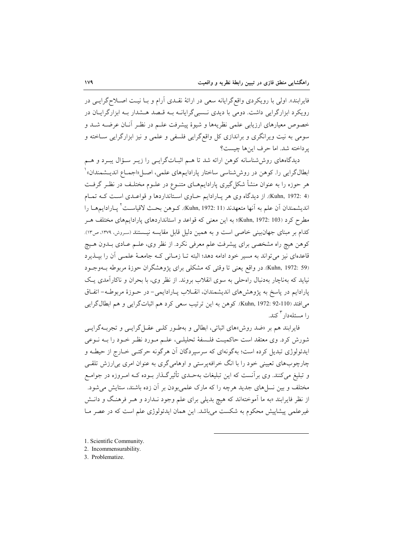فایرابند». اولی با رویکردی واقع گرایانه سعی در ارائهٔ نقـدی آرام و بـا نیـت اصـلاح گرایـبی در رویکرد ابزارگرایی داشت. دومی با دیدی نـسبی گرایانــه بــه قــصد هــشدار بــه ابزارگرایــان در خصوص معیارهای ارزیابی علمی نظریهها و شیوهٔ پیشرفت علـم در نظـر آنـان عرضـه شـد و سومی به نیت ویرانگری و براندازی کل واقعگرایی فلسفی و علمی و نیز ابزارگرایی ســاخته و ير داخته شد. اما حرف اينها چيست؟

دیدگاههای روششناسانه کوهن ارائه شد تا هـم اثبـاتگرایـی را زیـر سـؤال یبـرد و هـم ابطالگرایی را. کوهن در روششناسی ساختار پارادایمهای علمی، اصـل«اجمـاع اندیــشمندان» ْ هر حوزه را به عنوان منشأ شکل گیری پارادایمهــای متنــوع در علــوم مختلــف در نظــر گرفــت (Kuhn, 1972: 4). از دیدگاه وی هر پـارادایم حـاوی اسـتانداردها و قواعـدی اسـت کـه تمـام انديشمندان آن علم به آنها متعهدند (Kuhn, 1972: 11). كـوهن بحـث لاقياسـت<sup>٬</sup> يــارادايمهــا را مطرح کرد (Kuhn, 1972: 103)؛ به این معنی که قواعد و استانداردهای پارادایمهای مختلف هـر کدام بر مبنای جهانبینی خاصی است و به همین دلیل قابل مقایسه نیستند (سروش، ۱۳۷۹، ص۱۳). کوهن هیچ راه مشخصی برای پیشرفت علم معرفی نکرد. از نظر وی، علـم عـادی بــدون هــیچ قاعدهای نیز می تواند به مسیر خود ادامه دهد؛ البته تـا زمـانی کـه جامعـهٔ علمـی آن را بپـذیرد (Kuhn, 1972: 59). در واقع یعنی تا وقتی که مشکلی برای پژوهشگران حوزهٔ مربوطه بــهوجــود نیاید که بهناچار بهدنبال راهحلی به سوی انقلاب بروند. از نظر وی، با بحران و ناکارآمدی یک پارادایم در پاسخ به پژوهشهای اندیشمندان، انقـلاب پـارادایمی- در حـوزهٔ مربوطـه- اتفـاق مي افتد (Kuhn, 1972: 92-110). كوهن به اين ترتيب سعى كرد هم اثباتگرايي و هم ابطالگرايي ۱<sub>۱</sub> مسئلهدا, <sup>۳</sup> کند.

فایرابند هم بر «ضد روش»های اثباتی، ابطالی و بهطـور کلـی عقـلگرایـی و تجربــهگرایـی شورش کرد. وی معتقد است حاکمیــت فلــسفهٔ تحلیلــی، علــم مــورد نظــر خــود را بــه نــوعی ايدئولوژي تبديل كرده است؛ بهگونهاي كه سرسيردگان آن هرگونه حركتـي خــارج از حيطــه و چارچوبهای تعیینی خود را با انگ خرافهپرستی و اوهامیگری به عنوان امری بی ارزش تلقـی و تبلیغ میکنند. وی برآنست که این تبلیغات بهحـدی تأثیرگـذار بـوده کـه امـروزه در جوامـع .<br>مختلف و بین نسلمهای جدید هرچه را که مارک علمی بودن بر آن زده باشند، ستایش می شود. از نظر فایرابند «به ما آموختهاند که هیچ بدیلی برای علم وجود نـدارد و هــر فرهنـگ و دانــش غیرعلمی پیشاپیش محکوم به شکست میباشد. این همان ایدئولوژی علم است که در عصر مـا

- 1. Scientific Community.
- 2. Incommensurability.
- 3. Problematize.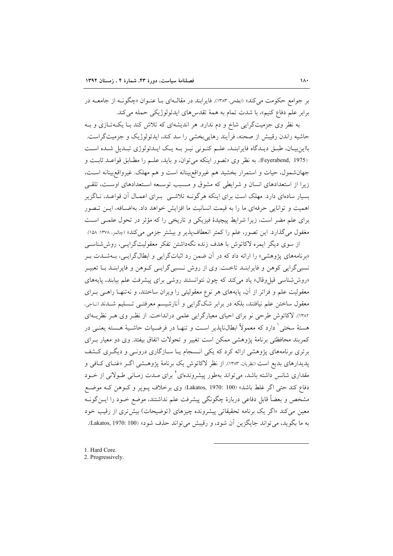بر جوامع حکومت میکند» (ابطحی، ۱۳۸۳). فایرابند در مقالـهای بـا عنـوان «چگونـه از جامعــه در برابر علم دفاع كنيم»، با شدت تمام به همهٔ تقدسهاى ايدئولوژيكى حمله مى كند.

به نظر وی جزمیتگرایی شاخ و دم ندارد. هر اندیشهای که تلاش کند بـا یکـهتـازی و بـه حاشیه راندن رقیبش از صحنه، فرآیند رهایی بخشی را سد کند، ایدئولوژیک و جزمیتگراست. بااین بیان، طبـق دیـدگاه فایرابنـد، علـم کنـونی نیـز بـه یـک ایـدئولوژی تبـدیل شـده اسـت (Feyerabend, 1975). به نظر وي «تصور اينكه مي توان، و بايد، علىم را مطـابق قواعـد ثابـت و جهان شمول، حيات و استمرار بخشيد هم غيرواقع بينانه است و هم مهلک. غيرواقع بينانه است، زیرا از استعدادهای انسان و شرایطی که مشوق و مسبب توسعه استعدادهای اوست، تلقی بسیار سادهای دارد. مهلک است برای اینکه هرگونــه تلاشــی بــرای اعمــال آن قواعــد، نــاگزیر اهمیت و توانایی حرفهای ما را به قیمت انسانیت ما افزایش خواهد داد. بهاضـافه، ایــن تـصور برای علم مضر است، زیرا شرایط پیچیدهٔ فیزیکی و تاریخی را که مؤثر در تحول علمی است مغفول میگذارد. این تصور، علم را کمتر انعطافپذیر و بیشتر جزمی میکند» (جالمز، ۱۳۷۸: ۱۵۸). از سوی دیگر ایمره لاکاتوش با هدف زنده نگهداشتن تفکر معقولیتگرایسی، روش شناسبی

«برنامههای پژوهشی» را ارائه داد که در آن ضمن رد اثباتگرایی و ابطالگرایـی، بـهشــدت بــر نسبیگرایی کوهن و فایرابنـد تاخـت. وی از روش نـسبی گرایـی کـوهن و فایرابنـد بـا تعبیـر «روش شناسی قیل وقال» یاد میکند که چون نتوانستند روشی برای پیشرفت علم بیابند، پایههای معقولیت علم و فراتر از آن، پایههای هر نوع معقولیتی را ویران ساختند، و نهتنهـا راهـی بـرای معقول ساختن علم نیافتند، بلکه در برابر شکگرایی و آنارشیسم معرفتـی تـسلیم شـدند (نـاجی، ١٣٨٢). لاكاتوش طرحي نو براي احياي معيارگرايي علمي درانداخت. از نظـر وي هـر نظريــهاي هستهٔ سختی ٰ دارد که معمولاً ابطالiایذیر اسـت و تنهـا در فرضـیات حاشـیهٔ هـسته یعنـی در كمربند محافظتي برنامهٔ پژوهشي ممكن است تغيير و تحولات اتفاق بيفتد. وي دو معيار بـراي برتری برنامههای پژوهشی ارائه کرد که یکی انـسجام یـا سـازگاری درونـی و دیگـری کـشف پدیدارهای بدیع است (نظریان، ۱۳۸۳). از نظر لاکاتوش یک برنامهٔ پژوهشی اگـر «غنـای کـافی و مقداری شانس داشته باشد، می تواند بهطور پیشروندهای<sup>۲</sup> برای مـدت زمـانی طـولانی از خــود دفاع كند حتى اگر غلط باشد» (Lakatos, 1970: 100). وي برخلاف يــوير و كــوهن كــه موضــع مشخص و بعضاً قابل دفاعی دربارهٔ چگونگی پیشرفت علم نداشتند، موضع خــود را ایــنگونــه معین می کند «اگر یک برنامه تحقیقاتی پیشرونده چیزهای (توضیحات) بیش تری از رقیب خود به ما بگويد، مي تواند جايگزين آن شود، و رقيبش مي تواند حذف شود» (Lakatos, 1970: 100).

<sup>1.</sup> Hard Core.

<sup>2.</sup> Progressively.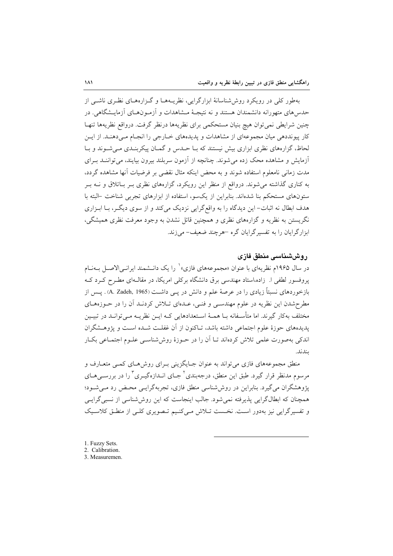بهطور کلی در رویکرد روش شناسانهٔ ابزارگرایی، نظریـههـا و گـزارههـای نظـری ناشـی از حدس های متهورانه دانشمندان هستند و نه نتیجـهٔ مـشاهدات و آزمـونهـای آزمایـشگاهی. در چنین شرایطی نمیتوان هیچ بنیان مستحکمی برای نظریهها درنظر گرفت. درواقع نظریهها تنهـا کار پیونددهی میان مجموعهای از مشاهدات و پدیدههای خـارجی را انجـام مـیدهنـد. از ایـن لحاظ، گزارههای نظری ابزاری بیش نیستند که بـا حــدس و گمــان پیکربنــدی مــی شــوند و بــا آزمایش و مشاهده محک زده می شوند. چنانچه از آزمون سربلند بیرون بیایند، می تواننـد بـرای مدت زمانی نامعلوم استفاده شوند و به محض اینکه مثال نقضی بر فرضیات آنها مشاهده گردد، به کناری گذاشته میشوند. درواقع از منظر این رویکرد، گزارههای نظری بـر بـاتلاق و نــه بـر ستونهای مستحکم بنا شدهاند. بنابراین از یکسو، استفاده از ابزارهای تجربی شناخت ⊣لبته با هدف ابطال نه اثبات- این دیدگاه را به واقع گرایی نزدیک می کند و از سوی دیگر، بـا ابـزاری نگریستن به نظریه و گزارههای نظری و همچنین قائل نشدن به وجود معرفت نظری همیشگی، ابزارگرایان را به تفسیر گرایان گره حمرچند ضعیف- می زند.

## روششناسی منطق فازی

در سال ۱۹۶۵م نظریهای با عنوان «مجموعههای فازی» را یک دانـشمند ایرانـی/لاصـل بــهنـام یروفسور لطفی ا. زاده،استاد مهندسی برق دانشگاه برکلی امریکا، در مقال1ای مطـرح کـرد کـه بازخوردهای نسبتاً زیادی را در عرصهٔ علم و دانش در یـبی داشــت (A. Zadeh, 1965) . پــس از مطرحشدن این نظریه در علوم مهندسـی و فنـی، عـدهای تـلاش کردنـد آن را در حـوزههـای مختلف بهکار گیرند. اما متأسـفانه بـا همـهٔ اسـتعدادهایی کـه ایـن نظریـه مـیتوانـد در تبیـین پدیدههای حوزهٔ علوم اجتماعی داشته باشد، تـاکنون از آن غفلـت شـده اسـت و پژوهـشگران اندکی بهصورت علمی تلاش کردهاند تــا اَن را در حــوزهٔ روششناســی علــوم اجتمــاعی بکــار ىندند.

منطق مجموعههای فازی می تواند به عنوان جـایگزینی بـرای روش۵حای کمـی متعـارف و مرسوم مدنظر قرار گیرد. طبق این منطق، درجهبندی<sup>۲</sup> جبای انبدازهگیری<sup>۳</sup> را در بررس*ی ه*بای یژوهشگران می گیرد. بنابراین در روش شناسی منطق فازی، تجربهگرایسی محـض رد مـی شـود؛ همچنان که ابطالگرایی پذیرفته نمیشود. جالب اینجاست که این روششناسی از نسبی گرایسی و تفسیر گرایی نیز بهدور است. نخست تلاش میکنیم تصویری کلبی از منطق کلاسیک

- 1. Fuzzy Sets.
- 2. Calibration.
- 3. Measuremen.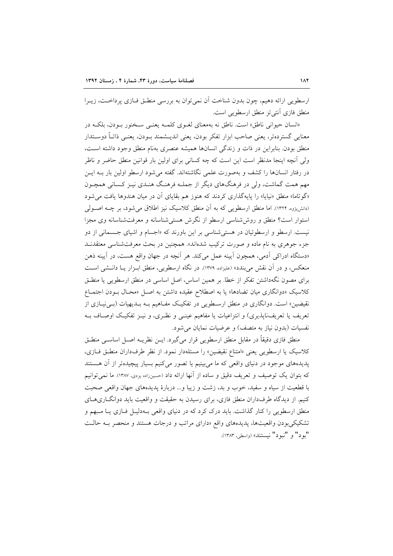ارسطويي ارائه دهيم، چون بدون شناخت آن نمي توان به بررسي منطـق فـازي پرداخـت، زيـرا منطق فازی آنتی تز منطق ارسطویی است.

«انسان حیوانی ناطق» است. ناطق نه بهمعنای لغـوی کلمـه یعنـی سـخنور بـودن، بلکـه در معنايي گستردهتر، يعني صاحب ابزار تفكر بودن، يعني انديــشمند بــودن، يعنــي ذاتــأ دوســتدار منطق بودن. بنابراین در ذات و زندگی انسانها همیشه عنصری بهنام منطق وجود داشته است، ولی آنچه اینجا مدنظر است این است که چه کسانی برای اولین بار قوانین منطق حاضر و ناظر در رفتار انسانها را کشف و بهصورت علمی نگاشتهاند. گفته می شود ارسطو اولین بار بــه ایــن مهم همت گماشت، ولی در فرهنگهای دیگر از جملـه فرهنـگ هنـدی نیـز کـسانی همچـون «گوتاما» منطق «نیایا» را پایهگذاری کردند که هنوز هم بقایای آن در میان هندوها یافت می شود (دانشپژوه، ۱۳۲۴). اما منطق ارسطویی که به آن منطق کلاسیک نیز اطلاق می شود، بر چــه اصــولی استوار است؟ منطق و روش شناسی ارسطو از نگرش هستی شناسانه و معرفتشناسانه وی مجزا نیست. ارسطو و ارسطوئیان در هستی شناسی بر این باورند که «اجسام و اشیای جسمانی از دو جزء جوهری به نام ماده و صورت ترکیب شدهاند». همچنین در بحث معرفتشناسی معتقدنــد «دستگاه ادراکی آدمی، همچون اَیینه عمل میکند. هر اَنچه در جهان واقع هست، در اَیینه ذهن منعکس، و در آن نقش میبندد» (علیزاده، ۱۳۷۹). در نگاه ارسطویی، منطق ابـزار یـا دانـشی اسـت برای مصون نگهداشتن تفکر از خطا. بر همین اساس، اصل اساسی در منطق ارسطویی یا منطـق کلاسیک «دوانگاری میان تضادها» یا به اصطلاح عقیده داشتن به اصل «محـال بـودن اجتمـاع نقیضین» است. دوانگاری در منطق ارســطویی در تفکیــک مفــاهیم بــه بــدیهیات (بــی نیــازی از تعریف یا تعریفناپذیری) و انتزاعیات یا مفاهیم عینـی و نظـری، و نیـز تفکیـک اوصـاف بـه نفسیات (بدون نیاز به متصف) و عرضیات نمایان می شود.

منطق فازي دقيقاً در مقابل منطق ارسطويي قرار مي گيرد. ايــن نظريــه اصــل اساســي منطــق کلاسیک یا ارسطویی یعنی «امتناع نقیضین» را مسئلهدار نمود. از نظر طرفداران منطـق فــازی، پدیدههای موجود در دنیای واقعی که ما می بینیم یا تصور میکنیم بسیار پیچیدهتر از آن هستند که بتوان یک توصیف و تعریف دقیق و ساده از آنها ارائه داد (حسینزاده یزدی، ۱۳۸۷). ما نمی توانیم با قطعیت از سیاه و سفید، خوب و بد، زشت و زیبا و... دربارهٔ پدیدههای جهان واقعی صحبت کنیم. از دیدگاه طرفداران منطق فازی، برای رسیدن به حقیقت و واقعیت باید دوانگــاریهــای منطق ارسطویی را کنار گذاشت. باید درک کرد که در دنیای واقعی بـهدلیـل فـازی یـا مـبهم و تشکیکی بودن واقعیتها، پدیدههای واقع «دارای مراتب و درجات هستند و منحصر بـه حالـت "يود" و "نبود" نيستند» (واسطى، ١٣٨٣).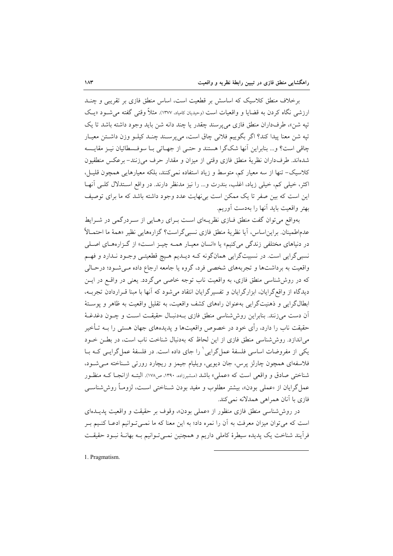برخلاف منطق کلاسیک که اساسش بر قطعیت است، اساس منطق فازی بر تقریبی و چنــد ارزشی نگاه کردن به قضایا و واقعیات است (وحیدیان کامیاد، ۱۳۷۷). مثلاً وقتی گفته می شـود «بک تيه شن»، طرف داران منطق فازي مي پرسند چقدر يا چند دانه شن بايد وجود داشته باشد تا يک تيه شن معنا ييدا كند؟ اگر بگوييم فلاني چاق است، مي پرسـند چنـد كيلـو وزن داشـتن معيـار چاقی است؟ و... بنابراین آنها شکگرا هستند و حتـی از جهـاتی بـا سوفـسطائیان نیـز مقایـسه شدهاند. طرفداران نظريهٔ منطق فازي وقتي از ميزان و مقدار حرف مي زنند– برعكس منطقيون کلاسیک– تنها از سه معیار کم، متوسط و زیاد استفاده نمی کنند، بلکه معیارهایی همچون قلیـل، اکثر، خیلی کم، خیلی زیاد، اغلب، بندرت و... را نیز مدنظر دارند. در واقع استدلال کلبی آنهـا این است که بین صفر تا یک ممکن است بی نهایت عدد وجود داشته باشد که ما برای توصیف بهتر واقعيت بايد آنها را بهدست آوريم.

بهواقع می توان گفت منطق فــازی نظریــهای اســت بــرای رهــایی از ســردرگمی در شــرایط عدماطمينان. براين|ساس، آيا نظرية منطق فازي نسبيگراست؟ گزارههايي نظير «همة ما احتمـالاً در دنیاهای مختلفی زندگی میکنیم» یا «انسان معیـار همـه چیـز اسـت» از گـزارههـای اصـلی نسبي گرايي است. در نسبيتگرايي همانگونه کـه ديــديم هـيچ قطعيتــي وجــود نــدارد و فهــم واقعیت به برداشتها و تجربههای شخصی فرد، گروه یا جامعه ارجاع داده مـیشـود؛ درحـالی که در روششناسی منطق فازی، به واقعیت ناب توجه خاصی میگردد. یعنی در واقع در ایــن دیدگاه از واقع گرایان، ابزارگرایان و تفسیرگرایان انتقاد میشود که آنها با مبنا قـراردادن تجربــه، ابطالگرایی و ذهنیتگرایی بهعنوان راههای کشف واقعیت، به تقلیل واقعیت به ظاهر و پوستهٔ آن دست می(نند. بنابراین روش شناسی منطق فازی بـهدنبـال حقیقـت اسـت و چـون دغدغـهٔ حقیقت ناب را دارد، رأی خود در خصوص واقعیتها و پدیدههای جهان هستی را بــه تـأخیر می اندازد. روششناسی منطق فازی از این لحاظ که بهدنبال شناخت ناب است، در بطن خـود یکی از مفروضات اساسی فلسفهٔ عمل گرایی ٔ را جای داده است. در فلسفهٔ عمل گرایـی کـه بــا فلاسفهای همچون چارلز پرس، جان دیویی، ویلیام جیمز و ریچارد رورتی شـناخته مـیشـود، شناختی صادق و واقعی است که «عملی» باشد (مشیرزاده، ۱۳۹۰، ص۱۷۸). البتـه ازانجـا کـه منظـور عمل گرایان از «عملی بودن»، بیشتر مطلوب و مفید بودن شـناختی اسـت، لزومـاً روش شناســ ِ فازي با آنان همراهي همدلانه نمي كند.

در روش شناسی منطق فازی منظور از «عملی بودن»، وقوف بر حقیقت و واقعیت پدیــدهای است که می توان میزان معرفت به آن را نمره داد؛ به این معنا که ما نمـیتـوانیم ادعـا کنـیم بـر فراّیند شناخت یک پدیده سیطرهٔ کاملی داریم و همچنین نمــیتوانیم بــه بهانــهٔ نبــود حقیقــت

1. Pragmatism.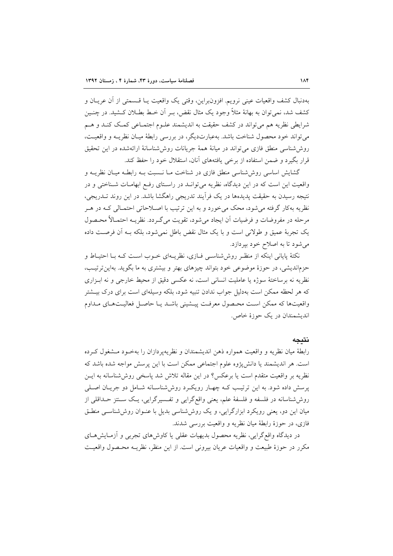بهدنبال كشف واقعيات عيني نرويم. افزونبراين، وقتى يك واقعيت يـا قــسمتى از أن عريــان و کشف شد، نمی توان به بهانهٔ مثلاً وجود یک مثال نقض، بـر اَن خـط بطــلان کــشید. در چنــین شرايطي نظريه هم مي تواند در كشف حقيقت به انديشمند علـوم اجتمـاعي كمـك كنـد و هـم می تواند خود محصول شناخت باشد. بهعبارتدیگر، در بررسی رابطهٔ میـان نظریــه و واقعیــت، روششناسی منطق فازی می تواند در میانهٔ همهٔ جریانات روش(شناسانهٔ ارائهشده در این تحقیق قرار بگیرد و ضمن استفاده از برخی یافتههای آنان، استقلال خود را حفظ کند.

گشایش اساسی روش شناسی منطق فازی در شناخت مــا نــسبت بــه رابطــه میــان نظریــه و واقعیت این است که در این دیدگاه، نظریه می توانـد در راسـتای رفـع ابهامـات شـناختی و در نتیجه رسیدن به حقیقت پدیدهها در یک فراًیند تدریجی راهگشا باشد. در این روند تــدریجی، نظریه بهکار گرفته می شود، محک می خورد و به این ترتیب با اصـلاحاتی احتمـالی کـه در هـر مرحله در مفروضات و فرضیات أن ایجاد می شود، تقویت می گـردد. نظریــه احتمـالاً محـصول یک تجربهٔ عمیق و طولانی است و با یک مثال نقض باطل نمیشود، بلکه بـه آن فرصـت داده می شود تا به اصلاح خود بپردازد.

نکتهٔ پایانی اینکه از منظر روششناسی فـازی، نظریـهای خـوب اسـت کـه بـا احتیـاط و حزماندیشی، در حوزهٔ موضوعی خود بتواند چیزهای بهتر و بیشتری به ما بگوید. بهاین تر تیب، نظریه نه برساختهٔ سوژه یا عاملیت انسانی است، نه عکسی دقیق از محیط خارجی و نه ابـزاری که هر لحظه ممکن است بهدلیل جواب ندادن تنبیه شود، بلکه وسیلهای است برای درک بیـشتر واقعیتها که ممکن است محـصول معرفـت پیـشینی باشـد یـا حاصـل فعالیـتهـای مـداوم اندیشمندان در یک جوزهٔ خاص.

#### نتيجه

رابطهٔ میان نظریه و واقعیت همواره ذهن اندیشمندان و نظریهپردازان را بهخـود مـشغول کـرده است. هر اندیشمند یا دانشپیژوه علوم اجتماعی ممکن است با این پرسش مواجه شده باشد که نظريه بر واقعيت متقدم است يا برعكس؟ در اين مقاله تلاش شد ياسخي روش شناسانه به ايــن پرسش داده شود. به این ترتیب کـه چهـار رویکـرد روششناسـانه شـامل دو جریـان اصـلی روششناسانه در فلسفه و فلسفهٔ علم، یعنی واقعگرایی و تفـسیرگرایی، یـک سـنتز حــداقلی از میان این دو، یعنی رویکرد ابزارگرایی، و یک روششناسی بدیل با عنـوان روششناسـی منطـق فازي، در حوزهٔ رابطهٔ ميان نظريه و واقعيت بررسي شدند.

در دیدگاه واقع گرایی، نظریه محصول بدیهیات عقلی یا کاوش۵ای تجربی و آزمـایشهـای مکرر در حوزهٔ طبیعت و واقعیات عریان بیرونی است. از این منظر، نظریـه محـصول واقعیـت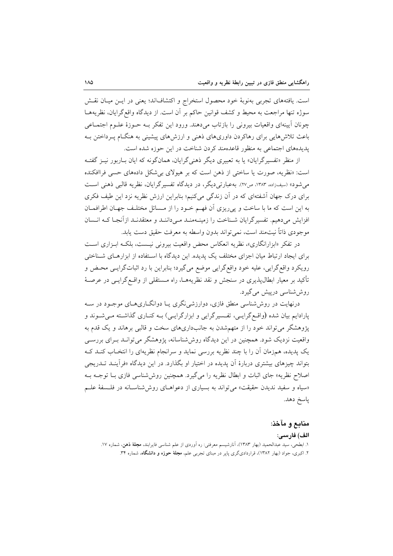است. یافتههای تجربی بهنوبهٔ خود محصول استخراج و اکتشافاند؛ یعنی در ایـن میـان نقـش سوژه تنها مراجعت به محیط و کشف قوانین حاکم بر آن است. از دیدگاه واقع گرایان، نظریههـا چونان آیینهای واقعیات بیرونی را بازتاب میدهند. ورود این تفکر بـه حـوزهٔ علـوم اجتمـاعی باعث تلاش هایی برای رهاکردن داوری های ذهنی و ارزش های پیشینی به هنگــام پــرداختن بــه یدیدههای اجتماعی به منظور قاعدهمند کردن شناخت در این حوزه شده است.

از منظر «تفسیرگرایان» یا به تعبیری دیگر ذهنی گرایان، همانگونه که ایان بـاربور نیـز گفتـه است: «نظریه، صورت یا ساختی از ذهن است که بر هیولای بی شکل دادههای حسی فراافکنده می شود» (سیفزاده، ۱۳۸۳، ص۲۷). به عبارتی دیگر ، در دیدگاه تفسیر گرایان، نظریه قالبی ذهنی است برای درک جهان آشفتهای که در آن زندگی میکنیم؛ بنابراین ارزش نظریه نزد این طیف فکری به این است که ما با ساخت و پیریزی آن فهـم خـود را از مـسائل مختلـف جهـان اطرافمـان افزایش میدهیم. تفسیرگرایان شـناخت را زمینـهمنـد مـیداننـد و معتقدنـد ازآنجـا کـه انـسان موجودي ذاتاً نيتمند است، نمي تواند بدون واسطه به معرفت حقيق دست يابد.

در تفكر «ابزارانگارى»، نظريه انعكاس محض واقعيت بيروني نيست، بلكـه ابـزاري اسـت برای ایجاد ارتباط میان اجزای مختلف یک پدیده. این دیدگاه با استفاده از ابزارهـای شـناختی رويكرد واقع گرايي، عليه خود واقع گرايي موضع مي گيرد؛ بنابراين با رد اثباتگرايـي محـض و تأکید بر معیار ابطال،پذیری در سنجش و نقد نظریههـا، راه مــستقلی از واقــع گرایــی در عرصـهٔ روششاسی درپیش میگیرد.

درنهایت در روششناسی منطق فازی، دوارزشی نگری یـا دوانگـاریهـای موجـود در سـه پارادایم بیان شده (واقع گرایـی، تفـسیرگرایی و ابزارگرایـی) بـه کنـاری گذاشـته مـی شـوند و پژوهشگر میتواند خود را از متهمشدن به جانبداریهای سخت و قالبی برهاند و یک قدم به واقعیت نزدیک شود. همچنین در این دیدگاه روششناسانه، پژوهشگر میتوانـد بـرای بررسـی یک پدیده، همزمان آن را با چند نظریه بررسی نماید و سرانجام نظریهای را انتخـاب کنــد کــه بتواند چیزهای بیشتری دربارهٔ آن پدیده در اختیار او بگذارد. در این دیدگاه «فرآینـد تــدریجی اصلاح نظریه» جای اثبات و ابطال نظریه را میگیرد. همچنین روششناسی فازی بــا توجــه بــه «سیاه و سفید ندیدن حقیقت» می تواند به بسیاری از دعواهـای روش شناسـانه در فلـسفهٔ علـم پاسخ دهد.

### منابع و مآخذ:

#### الف) فارسى:

۱. ابطحی، سید عبدالحمید (بهار ۱۳۸۳)، آنارشیسم معرفتی: ره اَوردی از علم شناسی فایرابند، **مجلهٔ ذهن**، شماره ۱۷. ۲. اکبری، جواد (بهار ۱۳۸۲)، قراردادیگری پایر در مبنای تجربی علم، **مجلهٔ حوزه و دانشگاه**، شماره ۳۴.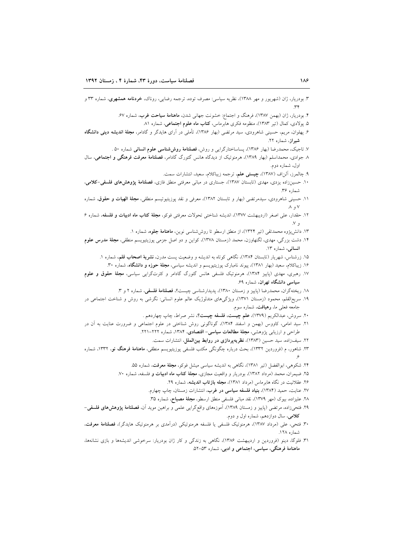- ۳. بودریار، ژان (شهریور و مهر ۱۳۸۸)، نظریه سیاسی: مصرف توده، ترجمه رضایی، روناک، **خردنامه همشهری**، شماره ۳۳ و
	- ۴. بودریار، ژان (بهمن ۱۳۸۷)، فرهنگ و اجتماع: خشونت جهانی شدن، **ماهنامهٔ سیاحت غرب**، شماره ۶۷.
		- ۵. یولادی، کمال (تیر ۱۳۸۳)، منظومه فکری هابرماس، کتاب ماه علوم اجتماعی، شماره ۸۱.
- ۶. پهلوان، مریم، حسینی شاهرودی، سید مرتضی (بهار ۱۳۸۶)، تأملی در آرای هایدگر و گادامر، **مجلهٔ اندیشه دینی دانشگاه** شیراز، شماره ٢٢.
	- ۷. تاجیک، محمدرضا (بهار ۱۳۸۶)، یساساختارگرایی و روش، فصلنامهٔ روششناسی علوم انسانی شماره ۵۰ .
- ۸ جوادی، محمداسلم (بهار ۱۳۸۹)، هرمنوتیک از دیدگاه هانس گئورگ گادامر، فصلنامهٔ معرفت فرهنگی و اجتماعی، سال اول، شماره دوم.
	- ۹. چالمرز، آلناف (۱۳۸۷)، چیستی علم، ترجمه زیباکلام، سعید، انتشارات سمت.
- ۱۰. حسینزاده یزدی، مهدی (تابستان ۱۳۸۷)، جستاری در مبانی معرفتی منطق فازی، فصلنامهٔ پژوهش های فلسفی-کلامی، شماره ۳۶.
- ۱۱. حسینی شاهرودی، سیدمرتضی (بهار و تابستان ۱۳۸۲)، معرفی و نقد پوزیتیوتیسم منطقی، **مجلهٔ الهیات و حقوق**، شماره  $\Lambda, V$
- ۱۲. حقدار، علی اصغر (اردیبهشت ۱۳۷۷)، اندیشه شناختی تحولات معرفتی فوکو، **مجلهٔ کتاب ماه ادبیات و فلسفه**، شماره ۶  $\mathcal{N}$ 
	- ۱۳. دانشپژوه محمدتقی (تیر ۱۳۲۴)، از منطق ارسطو تا روششناسی نوین، **ماهنامهٔ جلوه**، شماره ۱.
- ۱۴. دشت بزرگی، مهدی، لگنهاوزن، محمد (زمستان ۱۳۷۸)، کواین و دو اصل جزمی پوزیتیویسم منطقی، **مجلهٔ مدرس علوم** انسانی، شماره ۱۳.
	- ۱۵. زرشناس، شهريار (تابستان ۱۳۸۴)، نگاهی کوتاه به انديشه و وضعيت يست مدرن، **نشريهٔ اصحاب قلم**، شماره ۱.
	- ۱۶. زیباکلام، سعید (بهار ۱۳۸۱)، پیوند نامبارک پوزیتیویسم و اندیشه سیاسی، **مجلهٔ حوزه و دانشگاه**، شماره ۳۰.
- ۱۷. رهبری، مهدی (پاییز ۱۳۸۴)، هرمنوتیک فلسفی هانس گئورگ گادامر و کثرتگرایی سیاسی، **مجلهٔ حقوق و علوم** سیاسی دانشگاه تهران، شماره ۶۹.
	- ۱۸. ریختهگران، محمدرضا (پاییز و زمستان ۱۳۸۰)، پدیدارشناسی چیست؟، فصلنامهٔ فلسفی، شماره ۲ و ۳.
- ۱۹. سریع|لقلم، محمود (زمستان ۱۳۷۱)، ویژگیهای متدلوژیک عالم علوم انسانی: نگرشی به روش و شناخت اجتماعی در \_<br>جامعه فعل<sub>ی</sub> ما، **رهیافت**، شماره سوم.
	- ۲۰. سروش، عبدالکریم (۱۳۷۹)، علم چیست، فلسفه چیست؟، نشر صراط، چاپ چهاردهم .
- ۲۱. سید امامی، کاووس (بهمن و اسفند ۱۳۸۴)، گوناگونی روش شناختی در علوم اجتماعی و ضرورت عنایت به آن در طراحی و ارزیابی پژوهشی، مجلهٔ مطالعات سیاسی- اقتصادی، ۱۳۸۴، شماره ۲۲۲-۲۲۱.
	- ۲۲. سیفزاده، سید حسین (۱۳۸۳)، **نظریهپردازی در روابط بینالملل**، انتشارات سمت.
- ۲۳. شاهور، م (فروردین ۱۳۳۲)، بحث درباره چگونگی مکتب فلسفی پوزیتیویسم منطقی، **ماهنامهٔ فرهنگ نو**، ۱۳۳۲، شماره
	- ۲۴. شکوهی، ابوالفضل (تیر ۱۳۸۱)، نگاهی به اندیشه سیاسی میشل فوکو، **مجلهٔ معرفت**، شماره ۵۵.
	- ۲۵. ضیمران، محمد (مرداد ۱۳۸۲)، بودریار و واقعیت مجازی، مجلهٔ کتاب ماه ادبیات و فلسفه، شماره ۷۰.
		- ۲۶. عقلانیت در نگاه هابرماس (مرداد ۱۳۸۱)، مجله بازتاب اندیشه، شماره ۲۹.
		- ۲۷. عنایت، حمید (۱۳۸۴)، **بنیاد فلسفه سیاسی در غرب**، انتشارات زمستان، چاپ چهارم.
			- ۲۸. علیزاده، بیوک (مهر ۱۳۷۹)، نقد مبانی فلسفی منطق ارسطو، **مجلهٔ مصباح**، شماره ۳۵.
- ۲۹. فتحیزاده، مرتضی (پاییز و زمستان ۱۳۸۹)، آموزههای واقعگرایی علمی و براهین موید آن، **فصلنامهٔ پژوهشهای فلسفی** کلامی، سال دوازدهم، شماره اول و دوم.
- ۳۰. فتحی، علی (مرداد ۱۳۸۷)، هرمنوتیک فلسفی یا فلسفه هرمنوتیکی (درآمدی بر هرمنوتیک هایدگر)، فصلنامهٔ معرفت، شماره ١٢٨.
- ۳۱. فلوگا، دینو (فروردین و اردیبهشت ۱۳۸۶)، نگاهی به زندگی و کار ژان بودریار: سرخوشی اندیشهها و بازی نشانهها، ماهنامهٔ فرهنگی، سیاسی، اجتماعی و ادبی، شماره ۵۳–۵۲.